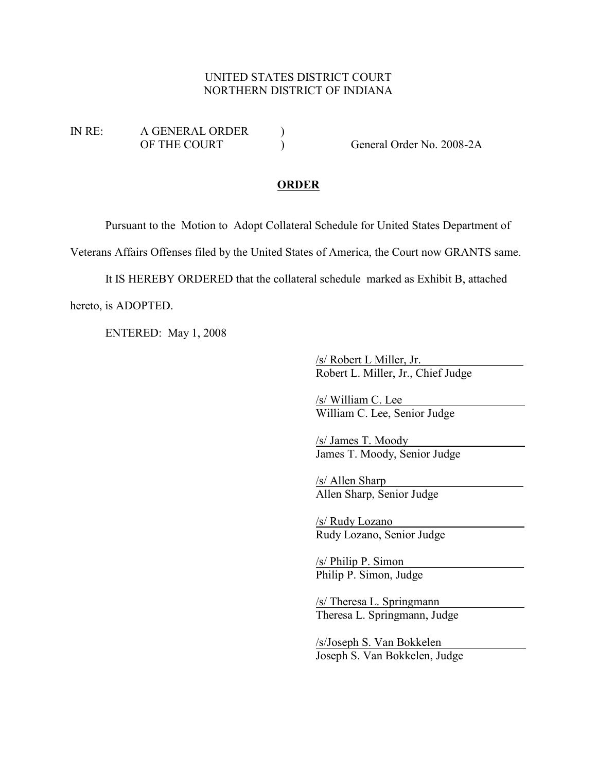#### UNITED STATES DISTRICT COURT NORTHERN DISTRICT OF INDIANA

IN RE: A GENERAL ORDER ) OF THE COURT (2008-2A)

#### **ORDER**

Pursuant to the Motion to Adopt Collateral Schedule for United States Department of

Veterans Affairs Offenses filed by the United States of America, the Court now GRANTS same.

It IS HEREBY ORDERED that the collateral schedule marked as Exhibit B, attached

hereto, is ADOPTED.

ENTERED: May 1, 2008

/s/ Robert L Miller, Jr. Robert L. Miller, Jr., Chief Judge

/s/ William C. Lee William C. Lee, Senior Judge

/s/ James T. Moody James T. Moody, Senior Judge

/s/ Allen Sharp Allen Sharp, Senior Judge

/s/ Rudy Lozano Rudy Lozano, Senior Judge

/s/ Philip P. Simon Philip P. Simon, Judge

/s/ Theresa L. Springmann Theresa L. Springmann, Judge

/s/Joseph S. Van Bokkelen Joseph S. Van Bokkelen, Judge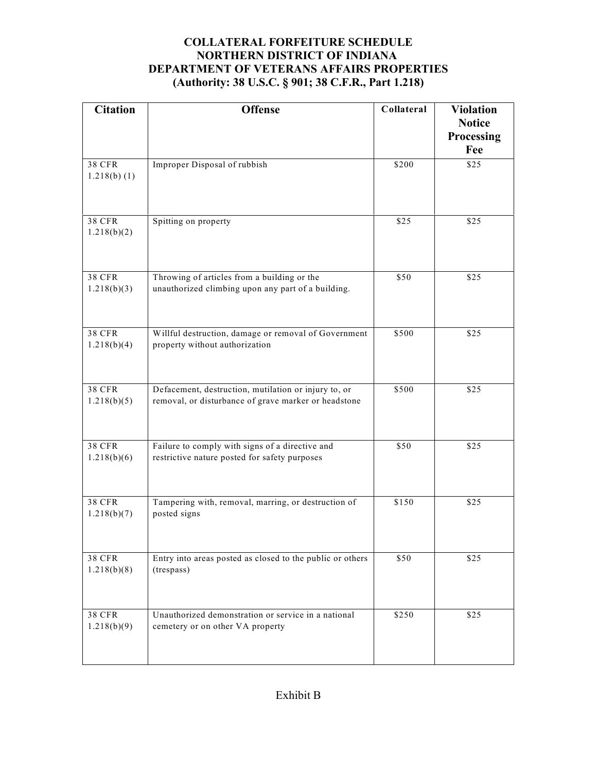| <b>Citation</b>                 | <b>Offense</b>                                                                                               | Collateral | <b>Violation</b><br><b>Notice</b><br>Processing<br>Fee |
|---------------------------------|--------------------------------------------------------------------------------------------------------------|------------|--------------------------------------------------------|
| <b>38 CFR</b><br>$1.218(b)$ (1) | Improper Disposal of rubbish                                                                                 | \$200      | \$25                                                   |
| <b>38 CFR</b><br>1.218(b)(2)    | Spitting on property                                                                                         | \$25       | \$25                                                   |
| <b>38 CFR</b><br>1.218(b)(3)    | Throwing of articles from a building or the<br>unauthorized climbing upon any part of a building.            | \$50       | \$25                                                   |
| <b>38 CFR</b><br>1.218(b)(4)    | Willful destruction, damage or removal of Government<br>property without authorization                       | \$500      | \$25                                                   |
| <b>38 CFR</b><br>1.218(b)(5)    | Defacement, destruction, mutilation or injury to, or<br>removal, or disturbance of grave marker or headstone | \$500      | \$25                                                   |
| <b>38 CFR</b><br>1.218(b)(6)    | Failure to comply with signs of a directive and<br>restrictive nature posted for safety purposes             | \$50       | \$25                                                   |
| <b>38 CFR</b><br>1.218(b)(7)    | Tampering with, removal, marring, or destruction of<br>posted signs                                          | \$150      | \$25                                                   |
| <b>38 CFR</b><br>1.218(b)(8)    | Entry into areas posted as closed to the public or others<br>(trespass)                                      | \$50       | \$25                                                   |
| <b>38 CFR</b><br>1.218(b)(9)    | Unauthorized demonstration or service in a national<br>cemetery or on other VA property                      | \$250      | \$25                                                   |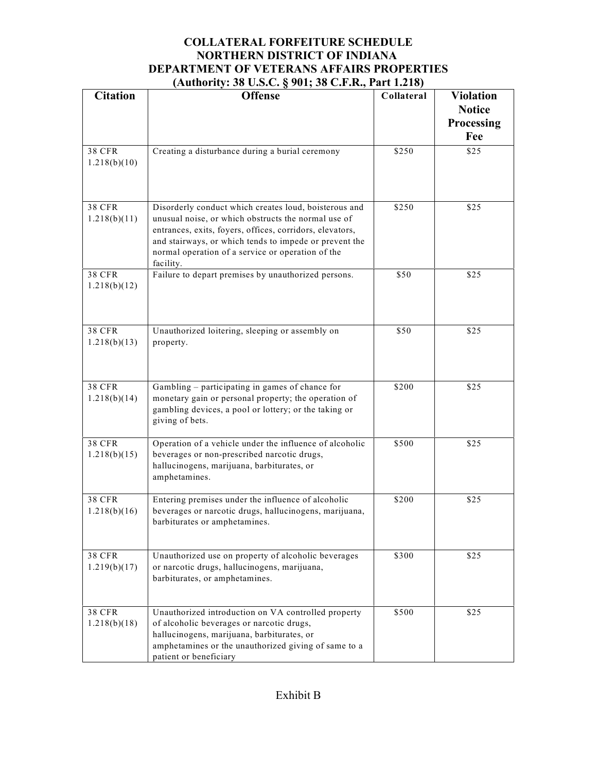| <b>Citation</b>               | <u>1000010,000 0.000,000 0.000 0.000,000 0.000</u><br><b>Offense</b>                                                                                                                                                                                                                                 | Collateral | <b>Violation</b><br><b>Notice</b> |
|-------------------------------|------------------------------------------------------------------------------------------------------------------------------------------------------------------------------------------------------------------------------------------------------------------------------------------------------|------------|-----------------------------------|
|                               |                                                                                                                                                                                                                                                                                                      |            | Processing<br>Fee                 |
| <b>38 CFR</b><br>1.218(b)(10) | Creating a disturbance during a burial ceremony                                                                                                                                                                                                                                                      | \$250      | \$25                              |
| <b>38 CFR</b><br>1.218(b)(11) | Disorderly conduct which creates loud, boisterous and<br>unusual noise, or which obstructs the normal use of<br>entrances, exits, foyers, offices, corridors, elevators,<br>and stairways, or which tends to impede or prevent the<br>normal operation of a service or operation of the<br>facility. | \$250      | \$25                              |
| <b>38 CFR</b><br>1.218(b)(12) | Failure to depart premises by unauthorized persons.                                                                                                                                                                                                                                                  | \$50       | \$25                              |
| <b>38 CFR</b><br>1.218(b)(13) | Unauthorized loitering, sleeping or assembly on<br>property.                                                                                                                                                                                                                                         | \$50       | \$25                              |
| <b>38 CFR</b><br>1.218(b)(14) | Gambling – participating in games of chance for<br>monetary gain or personal property; the operation of<br>gambling devices, a pool or lottery; or the taking or<br>giving of bets.                                                                                                                  | \$200      | \$25                              |
| <b>38 CFR</b><br>1.218(b)(15) | Operation of a vehicle under the influence of alcoholic<br>beverages or non-prescribed narcotic drugs,<br>hallucinogens, marijuana, barbiturates, or<br>amphetamines.                                                                                                                                | \$500      | \$25                              |
| <b>38 CFR</b><br>1.218(b)(16) | Entering premises under the influence of alcoholic<br>beverages or narcotic drugs, hallucinogens, marijuana,<br>barbiturates or amphetamines.                                                                                                                                                        | \$200      | \$25                              |
| <b>38 CFR</b><br>1.219(b)(17) | Unauthorized use on property of alcoholic beverages<br>or narcotic drugs, hallucinogens, marijuana,<br>barbiturates, or amphetamines.                                                                                                                                                                | \$300      | \$25                              |
| <b>38 CFR</b><br>1.218(b)(18) | Unauthorized introduction on VA controlled property<br>of alcoholic beverages or narcotic drugs,<br>hallucinogens, marijuana, barbiturates, or<br>amphetamines or the unauthorized giving of same to a<br>patient or beneficiary                                                                     | \$500      | \$25                              |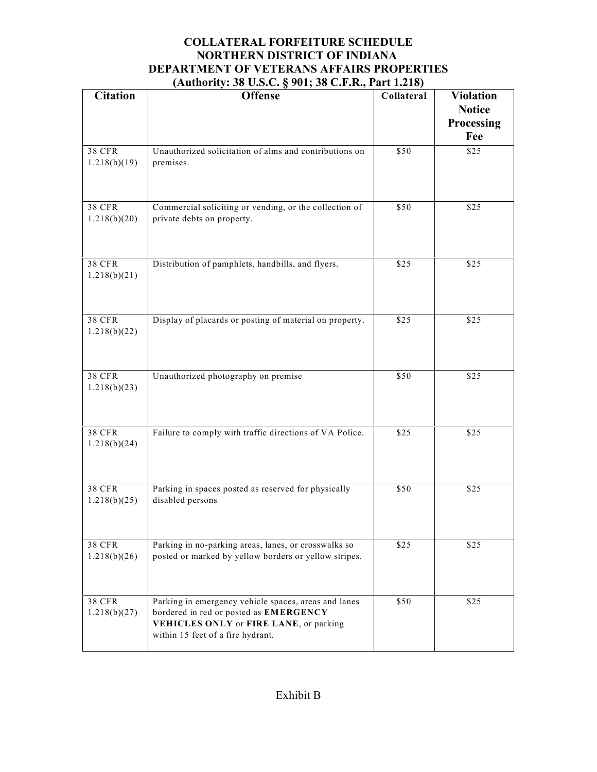|                               | $(11.410111y. 5000.3000, 8001, 5000.1110, 111110)$                                                                                                                            |            |                                                        |
|-------------------------------|-------------------------------------------------------------------------------------------------------------------------------------------------------------------------------|------------|--------------------------------------------------------|
| <b>Citation</b>               | <b>Offense</b>                                                                                                                                                                | Collateral | <b>Violation</b><br><b>Notice</b><br>Processing<br>Fee |
| <b>38 CFR</b><br>1.218(b)(19) | Unauthorized solicitation of alms and contributions on<br>premises.                                                                                                           | \$50       | \$25                                                   |
| <b>38 CFR</b><br>1.218(b)(20) | Commercial soliciting or vending, or the collection of<br>private debts on property.                                                                                          | \$50       | \$25                                                   |
| <b>38 CFR</b><br>1.218(b)(21) | Distribution of pamphlets, handbills, and flyers.                                                                                                                             | \$25       | \$25                                                   |
| <b>38 CFR</b><br>1.218(b)(22) | Display of placards or posting of material on property.                                                                                                                       | \$25       | \$25                                                   |
| <b>38 CFR</b><br>1.218(b)(23) | Unauthorized photography on premise                                                                                                                                           | \$50       | \$25                                                   |
| <b>38 CFR</b><br>1.218(b)(24) | Failure to comply with traffic directions of VA Police.                                                                                                                       | \$25       | \$25                                                   |
| <b>38 CFR</b><br>1.218(b)(25) | Parking in spaces posted as reserved for physically<br>disabled persons                                                                                                       | \$50       | \$25                                                   |
| <b>38 CFR</b><br>1.218(b)(26) | Parking in no-parking areas, lanes, or crosswalks so<br>posted or marked by yellow borders or yellow stripes.                                                                 | \$25       | \$25                                                   |
| <b>38 CFR</b><br>1.218(b)(27) | Parking in emergency vehicle spaces, areas and lanes<br>bordered in red or posted as EMERGENCY<br>VEHICLES ONLY or FIRE LANE, or parking<br>within 15 feet of a fire hydrant. | \$50       | \$25                                                   |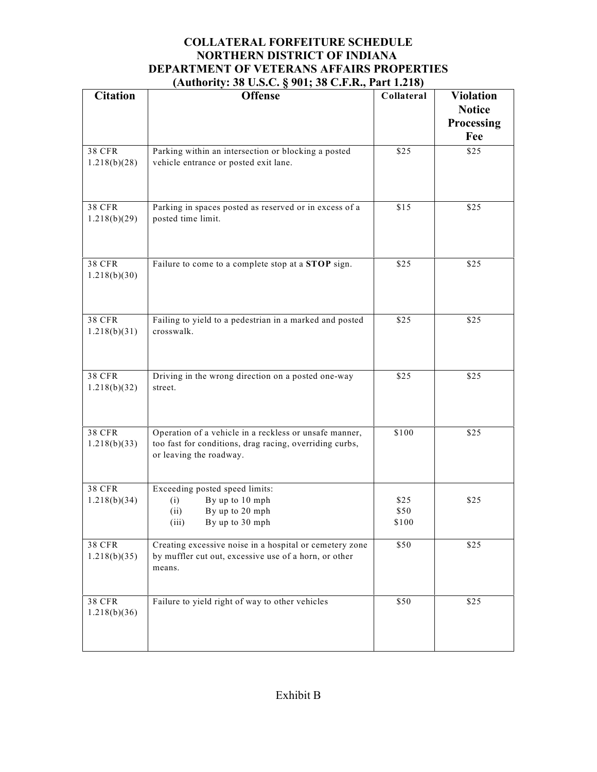|                               | $(11.410111y. 5000.3000, 8001, 5000.1110, 111110)$                                                                                           |                       |                                                        |
|-------------------------------|----------------------------------------------------------------------------------------------------------------------------------------------|-----------------------|--------------------------------------------------------|
| <b>Citation</b>               | <b>Offense</b>                                                                                                                               | Collateral            | <b>Violation</b><br><b>Notice</b><br>Processing<br>Fee |
| <b>38 CFR</b><br>1.218(b)(28) | Parking within an intersection or blocking a posted<br>vehicle entrance or posted exit lane.                                                 | \$25                  | \$25                                                   |
| <b>38 CFR</b><br>1.218(b)(29) | Parking in spaces posted as reserved or in excess of a<br>posted time limit.                                                                 | \$15                  | \$25                                                   |
| <b>38 CFR</b><br>1.218(b)(30) | Failure to come to a complete stop at a STOP sign.                                                                                           | \$25                  | \$25                                                   |
| <b>38 CFR</b><br>1.218(b)(31) | Failing to yield to a pedestrian in a marked and posted<br>crosswalk.                                                                        | \$25                  | \$25                                                   |
| <b>38 CFR</b><br>1.218(b)(32) | Driving in the wrong direction on a posted one-way<br>street.                                                                                | \$25                  | \$25                                                   |
| <b>38 CFR</b><br>1.218(b)(33) | Operation of a vehicle in a reckless or unsafe manner,<br>too fast for conditions, drag racing, overriding curbs,<br>or leaving the roadway. | \$100                 | \$25                                                   |
| <b>38 CFR</b><br>1.218(b)(34) | Exceeding posted speed limits:<br>By up to 10 mph<br>(i)<br>By up to 20 mph<br>(ii)<br>(iii)<br>By up to 30 mph                              | \$25<br>\$50<br>\$100 | \$25                                                   |
| <b>38 CFR</b><br>1.218(b)(35) | Creating excessive noise in a hospital or cemetery zone<br>by muffler cut out, excessive use of a horn, or other<br>means.                   | \$50                  | \$25                                                   |
| <b>38 CFR</b><br>1.218(b)(36) | Failure to yield right of way to other vehicles                                                                                              | \$50                  | \$25                                                   |